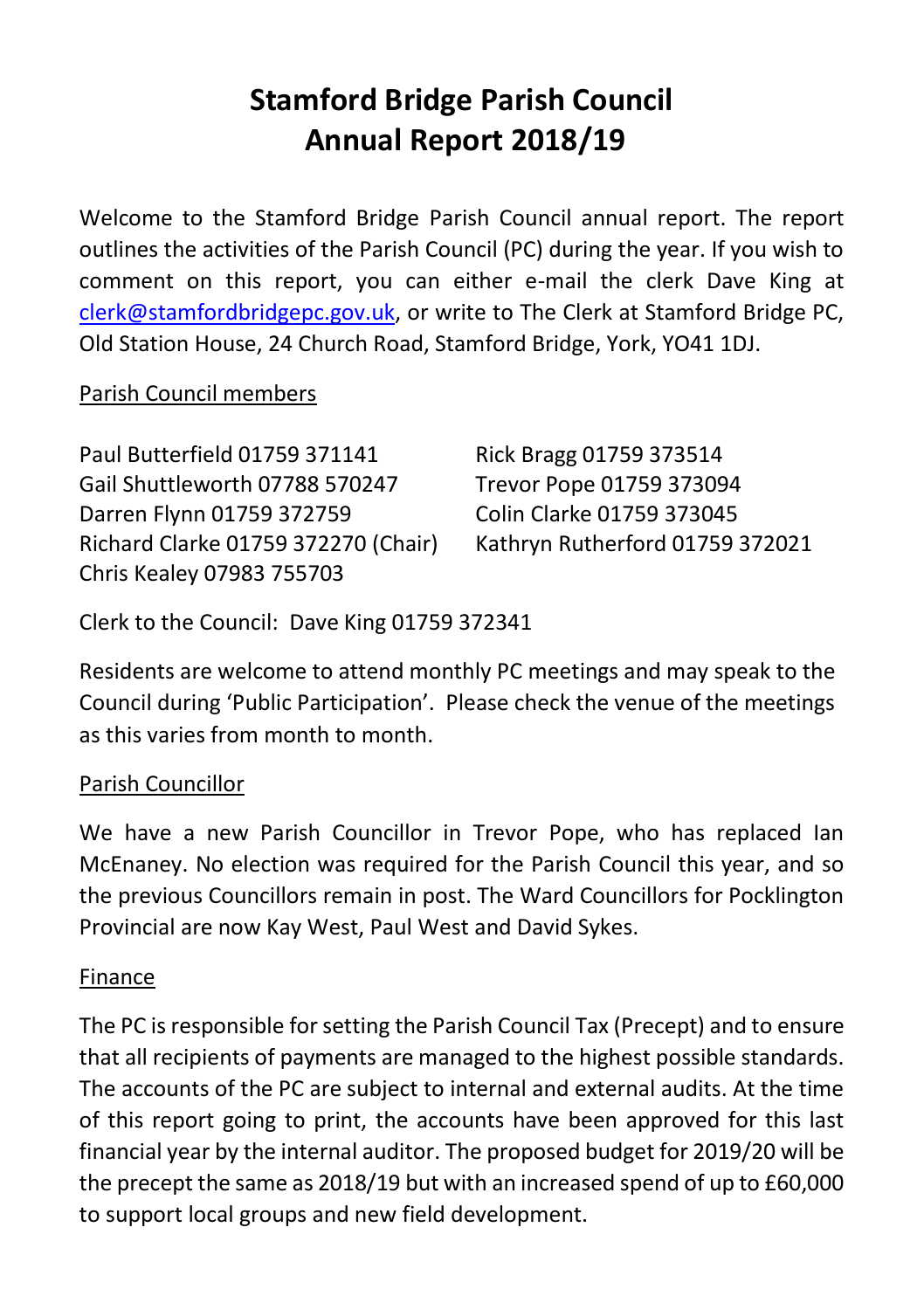# **Stamford Bridge Parish Council Annual Report 2018/19**

Welcome to the Stamford Bridge Parish Council annual report. The report outlines the activities of the Parish Council (PC) during the year. If you wish to comment on this report, you can either e-mail the clerk Dave King at [clerk@stamfordbridgepc.gov.uk,](mailto:clerk@stamfordbridgepc.gov.uk) or write to The Clerk at Stamford Bridge PC, Old Station House, 24 Church Road, Stamford Bridge, York, YO41 1DJ.

## Parish Council members

| Paul Butterfield 01759 371141       | Rick Bragg 01759 373514         |
|-------------------------------------|---------------------------------|
| Gail Shuttleworth 07788 570247      | Trevor Pope 01759 373094        |
| Darren Flynn 01759 372759           | Colin Clarke 01759 373045       |
| Richard Clarke 01759 372270 (Chair) | Kathryn Rutherford 01759 372021 |
| Chris Kealey 07983 755703           |                                 |

Clerk to the Council: Dave King 01759 372341

Residents are welcome to attend monthly PC meetings and may speak to the Council during 'Public Participation'. Please check the venue of the meetings as this varies from month to month.

## Parish Councillor

We have a new Parish Councillor in Trevor Pope, who has replaced Ian McEnaney. No election was required for the Parish Council this year, and so the previous Councillors remain in post. The Ward Councillors for Pocklington Provincial are now Kay West, Paul West and David Sykes.

#### Finance

The PC is responsible for setting the Parish Council Tax (Precept) and to ensure that all recipients of payments are managed to the highest possible standards. The accounts of the PC are subject to internal and external audits. At the time of this report going to print, the accounts have been approved for this last financial year by the internal auditor. The proposed budget for 2019/20 will be the precept the same as 2018/19 but with an increased spend of up to £60,000 to support local groups and new field development.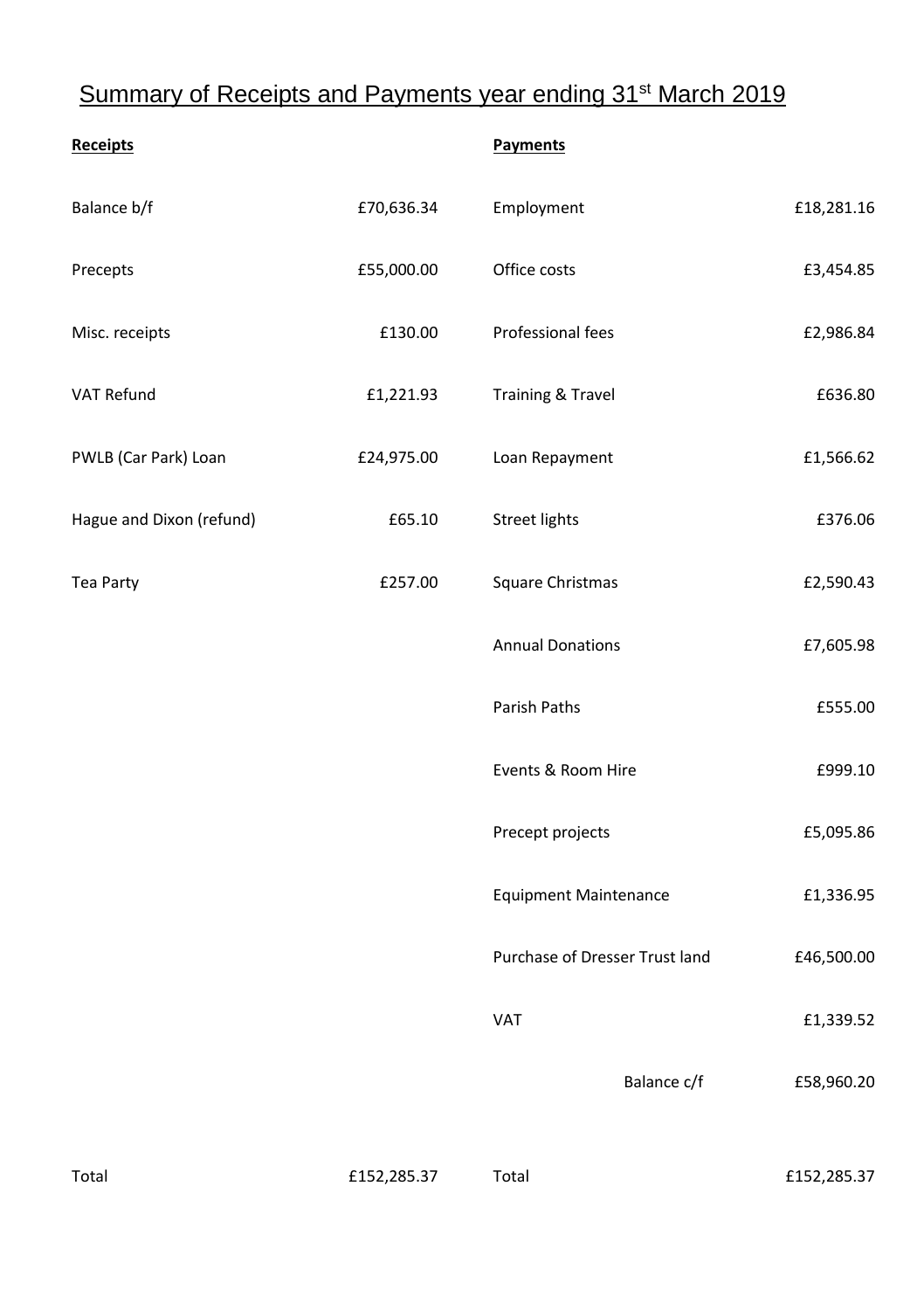# Summary of Receipts and Payments year ending 31<sup>st</sup> March 2019

| Receipts                 |            | Payments                       |            |
|--------------------------|------------|--------------------------------|------------|
| Balance b/f              | £70,636.34 | Employment                     | £18,281.16 |
| Precepts                 | £55,000.00 | Office costs                   | £3,454.85  |
| Misc. receipts           | £130.00    | Professional fees              | £2,986.84  |
| VAT Refund               | £1,221.93  | Training & Travel              | £636.80    |
| PWLB (Car Park) Loan     | £24,975.00 | Loan Repayment                 | £1,566.62  |
| Hague and Dixon (refund) | £65.10     | <b>Street lights</b>           | £376.06    |
| Tea Party                | £257.00    | Square Christmas               | £2,590.43  |
|                          |            | <b>Annual Donations</b>        | £7,605.98  |
|                          |            | Parish Paths                   | £555.00    |
|                          |            | Events & Room Hire             | £999.10    |
|                          |            | Precept projects               | £5,095.86  |
|                          |            | <b>Equipment Maintenance</b>   | £1,336.95  |
|                          |            | Purchase of Dresser Trust land | £46,500.00 |
|                          |            | <b>VAT</b>                     | £1,339.52  |
|                          |            | Balance c/f                    | £58,960.20 |
|                          |            |                                |            |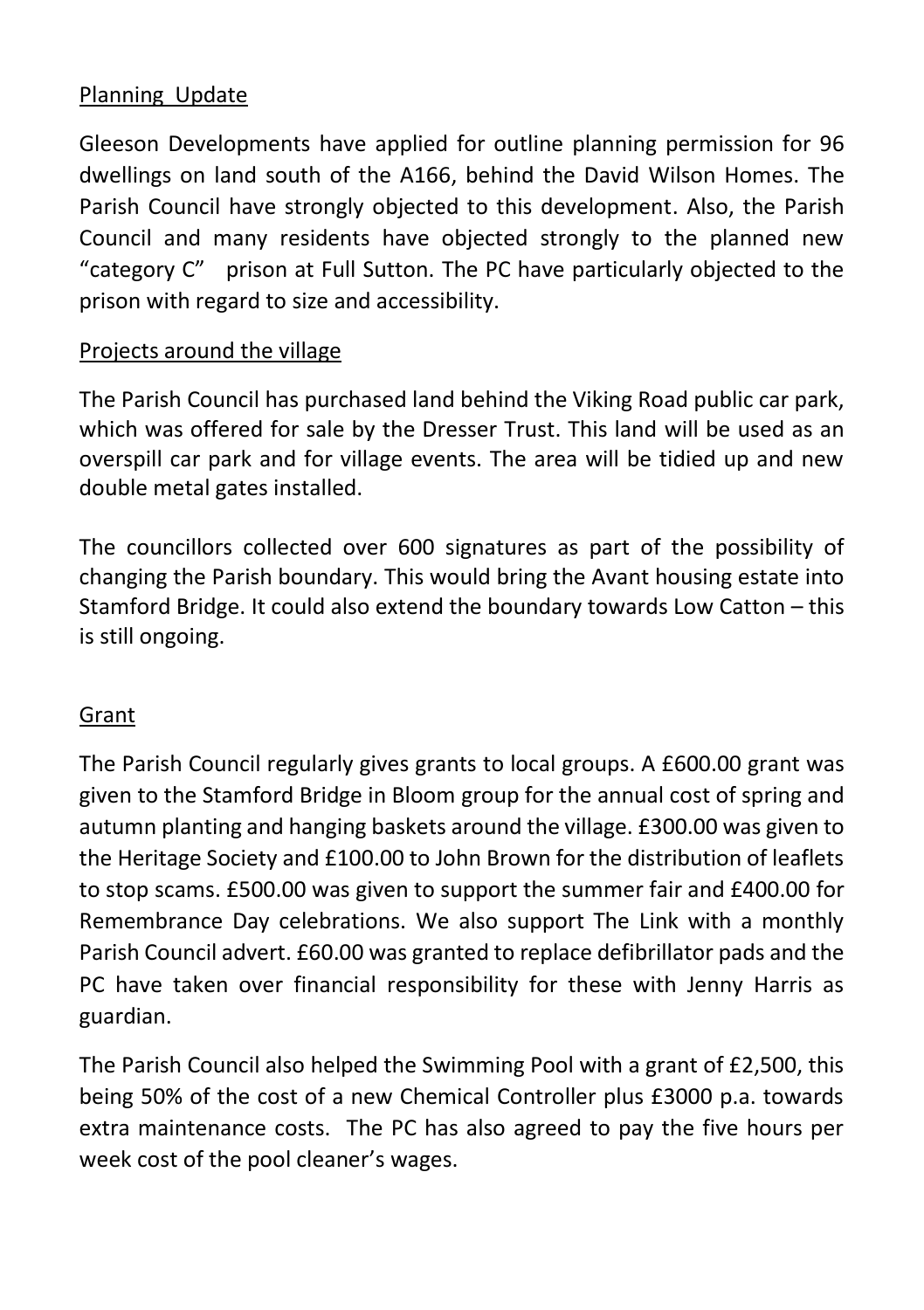## Planning Update

Gleeson Developments have applied for outline planning permission for 96 dwellings on land south of the A166, behind the David Wilson Homes. The Parish Council have strongly objected to this development. Also, the Parish Council and many residents have objected strongly to the planned new "category C" prison at Full Sutton. The PC have particularly objected to the prison with regard to size and accessibility.

#### Projects around the village

The Parish Council has purchased land behind the Viking Road public car park, which was offered for sale by the Dresser Trust. This land will be used as an overspill car park and for village events. The area will be tidied up and new double metal gates installed.

The councillors collected over 600 signatures as part of the possibility of changing the Parish boundary. This would bring the Avant housing estate into Stamford Bridge. It could also extend the boundary towards Low Catton – this is still ongoing.

## Grant

The Parish Council regularly gives grants to local groups. A £600.00 grant was given to the Stamford Bridge in Bloom group for the annual cost of spring and autumn planting and hanging baskets around the village. £300.00 was given to the Heritage Society and £100.00 to John Brown for the distribution of leaflets to stop scams. £500.00 was given to support the summer fair and £400.00 for Remembrance Day celebrations. We also support The Link with a monthly Parish Council advert. £60.00 was granted to replace defibrillator pads and the PC have taken over financial responsibility for these with Jenny Harris as guardian.

The Parish Council also helped the Swimming Pool with a grant of £2,500, this being 50% of the cost of a new Chemical Controller plus £3000 p.a. towards extra maintenance costs. The PC has also agreed to pay the five hours per week cost of the pool cleaner's wages.